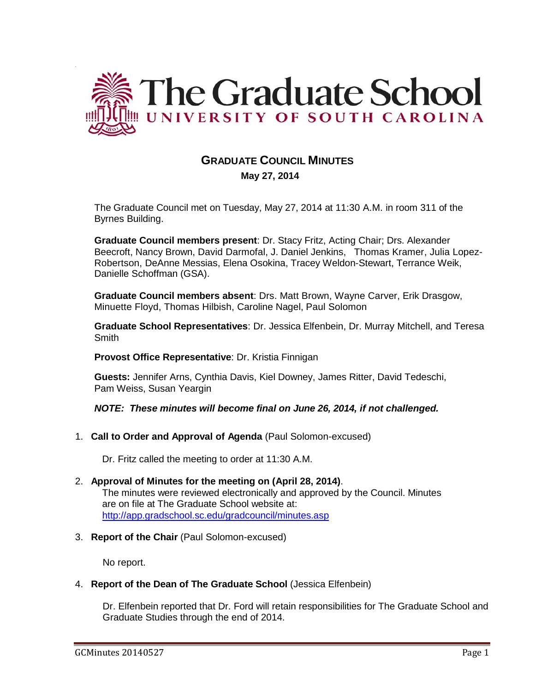

# **GRADUATE COUNCIL MINUTES**

 **May 27, 2014**

The Graduate Council met on Tuesday, May 27, 2014 at 11:30 A.M. in room 311 of the Byrnes Building.

**Graduate Council members present**: Dr. Stacy Fritz, Acting Chair; Drs. Alexander Beecroft, Nancy Brown, David Darmofal, J. Daniel Jenkins, Thomas Kramer, Julia Lopez-Robertson, DeAnne Messias, Elena Osokina, Tracey Weldon-Stewart, Terrance Weik, Danielle Schoffman (GSA).

**Graduate Council members absent**: Drs. Matt Brown, Wayne Carver, Erik Drasgow, Minuette Floyd, Thomas Hilbish, Caroline Nagel, Paul Solomon

**Graduate School Representatives**: Dr. Jessica Elfenbein, Dr. Murray Mitchell, and Teresa **Smith** 

**Provost Office Representative**: Dr. Kristia Finnigan

**Guests:** Jennifer Arns, Cynthia Davis, Kiel Downey, James Ritter, David Tedeschi, Pam Weiss, Susan Yeargin

*NOTE: These minutes will become final on June 26, 2014, if not challenged.*

1. **Call to Order and Approval of Agenda** (Paul Solomon-excused)

Dr. Fritz called the meeting to order at 11:30 A.M.

- 2. **Approval of Minutes for the meeting on (April 28, 2014)**. The minutes were reviewed electronically and approved by the Council. Minutes are on file at The Graduate School website at: <http://app.gradschool.sc.edu/gradcouncil/minutes.asp>
- 3. **Report of the Chair** (Paul Solomon-excused)

No report.

4. **Report of the Dean of The Graduate School** (Jessica Elfenbein)

Dr. Elfenbein reported that Dr. Ford will retain responsibilities for The Graduate School and Graduate Studies through the end of 2014.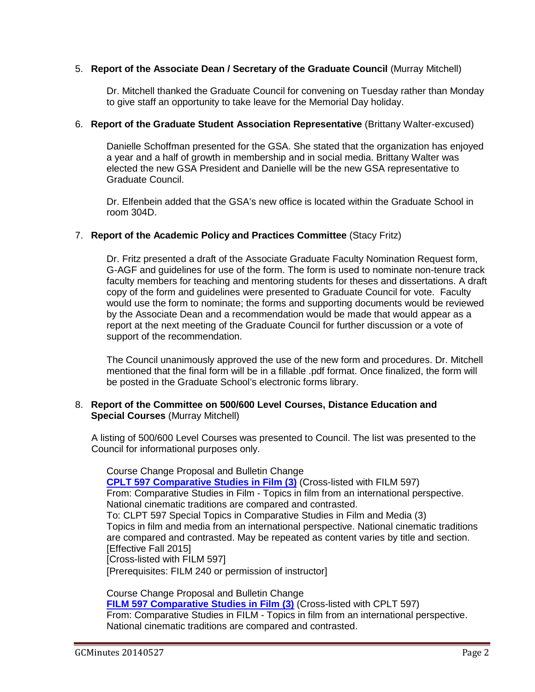### 5. **Report of the Associate Dean / Secretary of the Graduate Council** (Murray Mitchell)

Dr. Mitchell thanked the Graduate Council for convening on Tuesday rather than Monday to give staff an opportunity to take leave for the Memorial Day holiday.

### 6. **Report of the Graduate Student Association Representative** (Brittany Walter-excused)

Danielle Schoffman presented for the GSA. She stated that the organization has enjoyed a year and a half of growth in membership and in social media. Brittany Walter was elected the new GSA President and Danielle will be the new GSA representative to Graduate Council.

Dr. Elfenbein added that the GSA's new office is located within the Graduate School in room 304D.

### 7. **Report of the Academic Policy and Practices Committee** (Stacy Fritz)

Dr. Fritz presented a draft of the Associate Graduate Faculty Nomination Request form, G-AGF and guidelines for use of the form. The form is used to nominate non-tenure track faculty members for teaching and mentoring students for theses and dissertations. A draft copy of the form and guidelines were presented to Graduate Council for vote. Faculty would use the form to nominate; the forms and supporting documents would be reviewed by the Associate Dean and a recommendation would be made that would appear as a report at the next meeting of the Graduate Council for further discussion or a vote of support of the recommendation.

The Council unanimously approved the use of the new form and procedures. Dr. Mitchell mentioned that the final form will be in a fillable .pdf format. Once finalized, the form will be posted in the Graduate School's electronic forms library.

### 8. **Report of the Committee on 500/600 Level Courses, Distance Education and Special Courses** (Murray Mitchell)

A listing of 500/600 Level Courses was presented to Council. The list was presented to the Council for informational purposes only.

Course Change Proposal and Bulletin Change **[CPLT 597 Comparative Studies in Film \(3\)](http://gradschool.sc.edu/facstaff/gradcouncil/2013/CPLT%20597_Redacted.pdf)** (Cross-listed with FILM 597) From: Comparative Studies in Film - Topics in film from an international perspective. National cinematic traditions are compared and contrasted. To: CLPT 597 Special Topics in Comparative Studies in Film and Media (3) Topics in film and media from an international perspective. National cinematic traditions are compared and contrasted. May be repeated as content varies by title and section. [Effective Fall 2015] [Cross-listed with FILM 597] [Prerequisites: FILM 240 or permission of instructor]

Course Change Proposal and Bulletin Change **[FILM 597 Comparative Studies in Film \(3\)](http://gradschool.sc.edu/facstaff/gradcouncil/2013/FILM%20597%20Comparative%20Studies%20in%20Film-crosslisted.pdf)** (Cross-listed with CPLT 597) From: Comparative Studies in FILM - Topics in film from an international perspective. National cinematic traditions are compared and contrasted.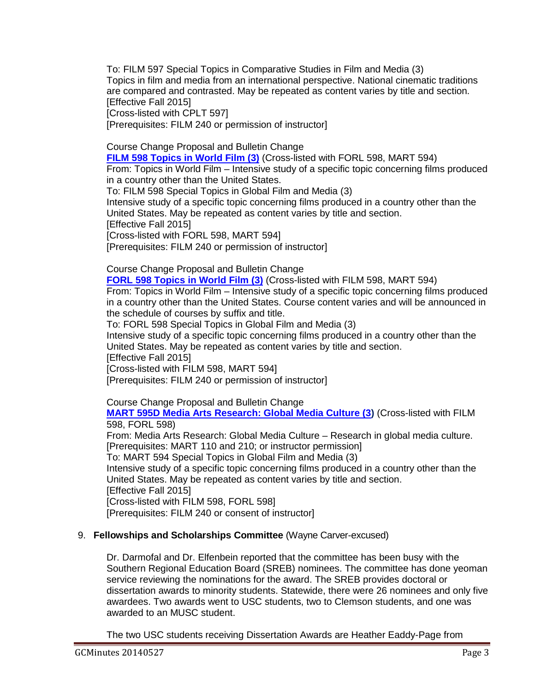To: FILM 597 Special Topics in Comparative Studies in Film and Media (3) Topics in film and media from an international perspective. National cinematic traditions are compared and contrasted. May be repeated as content varies by title and section. [Effective Fall 2015]

[Cross-listed with CPLT 597]

[Prerequisites: FILM 240 or permission of instructor]

Course Change Proposal and Bulletin Change

**[FILM 598 Topics in World Film \(3\)](http://gradschool.sc.edu/facstaff/gradcouncil/2013/FILM%20598_Redacted.pdf)** (Cross-listed with FORL 598, MART 594) From: Topics in World Film – Intensive study of a specific topic concerning films produced in a country other than the United States.

To: FILM 598 Special Topics in Global Film and Media (3) Intensive study of a specific topic concerning films produced in a country other than the United States. May be repeated as content varies by title and section. [Effective Fall 2015] [Cross-listed with FORL 598, MART 594] [Prerequisites: FILM 240 or permission of instructor]

Course Change Proposal and Bulletin Change

**[FORL 598 Topics in World Film \(3\)](http://gradschool.sc.edu/facstaff/gradcouncil/2013/FORL%20598%20(Cross-listed%20with%20FILM%20598_Redacted.pdf)** (Cross-listed with FILM 598, MART 594) From: Topics in World Film – Intensive study of a specific topic concerning films produced in a country other than the United States. Course content varies and will be announced in the schedule of courses by suffix and title.

To: FORL 598 Special Topics in Global Film and Media (3) Intensive study of a specific topic concerning films produced in a country other than the United States. May be repeated as content varies by title and section. [Effective Fall 2015]

[Cross-listed with FILM 598, MART 594]

[Prerequisites: FILM 240 or permission of instructor]

Course Change Proposal and Bulletin Change

**[MART 595D Media Arts Research: Global Media Culture \(3\)](http://gradschool.sc.edu/facstaff/gradcouncil/2013/MART%20595_Redacted.pdf)** (Cross-listed with FILM 598, FORL 598)

From: Media Arts Research: Global Media Culture – Research in global media culture. [Prerequisites: MART 110 and 210; or instructor permission]

To: MART 594 Special Topics in Global Film and Media (3)

Intensive study of a specific topic concerning films produced in a country other than the United States. May be repeated as content varies by title and section.

[Effective Fall 2015]

[Cross-listed with FILM 598, FORL 598]

[Prerequisites: FILM 240 or consent of instructor]

# 9. **Fellowships and Scholarships Committee** (Wayne Carver-excused)

Dr. Darmofal and Dr. Elfenbein reported that the committee has been busy with the Southern Regional Education Board (SREB) nominees. The committee has done yeoman service reviewing the nominations for the award. The SREB provides doctoral or dissertation awards to minority students. Statewide, there were 26 nominees and only five awardees. Two awards went to USC students, two to Clemson students, and one was awarded to an MUSC student.

The two USC students receiving Dissertation Awards are Heather Eaddy-Page from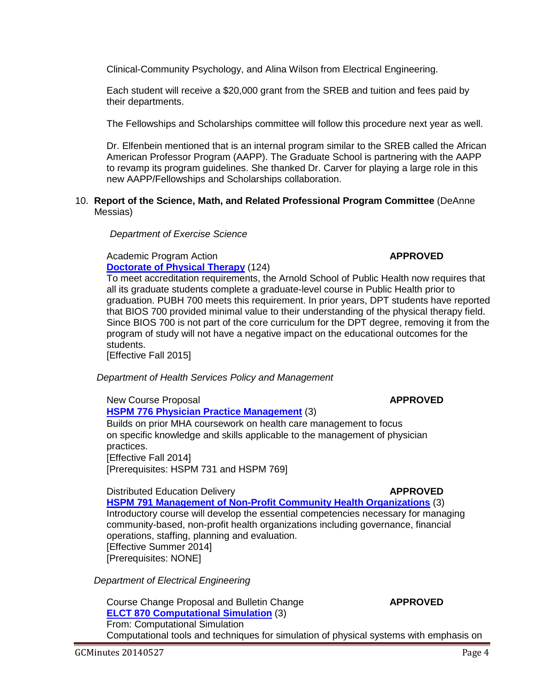new AAPP/Fellowships and Scholarships collaboration.

Academic Program Action **APPROVED [Doctorate of Physical Therapy](http://gradschool.sc.edu/facstaff/gradcouncil/2013/Doctorate%20of%20PT%20APA%205-1-14_Redacted.pdf)** (124)

 *Department of Exercise Science*

To meet accreditation requirements, the Arnold School of Public Health now requires that all its graduate students complete a graduate-level course in Public Health prior to graduation. PUBH 700 meets this requirement. In prior years, DPT students have reported that BIOS 700 provided minimal value to their understanding of the physical therapy field. Since BIOS 700 is not part of the core curriculum for the DPT degree, removing it from the program of study will not have a negative impact on the educational outcomes for the students.

[Effective Fall 2015]

Messias)

 *Department of Health Services Policy and Management*

# New Course Proposal **APPROVED [HSPM 776 Physician Practice Management](http://gradschool.sc.edu/facstaff/gradcouncil/2013/HSPM%20776%20NCP_Redacted.pdf)** (3) Builds on prior MHA coursework on health care management to focus on specific knowledge and skills applicable to the management of physician

practices. [Effective Fall 2014] [Prerequisites: HSPM 731 and HSPM 769]

# Distributed Education Delivery **APPROVED [HSPM 791 Management of Non-Profit Community Health Organizations](http://gradschool.sc.edu/facstaff/gradcouncil/2013/HSPM%20791%20DED-STC_Redacted.pdf)** (3)

Introductory course will develop the essential competencies necessary for managing community-based, non-profit health organizations including governance, financial operations, staffing, planning and evaluation. [Effective Summer 2014] [Prerequisites: NONE]

*Department of Electrical Engineering*

### Course Change Proposal and Bulletin Change **APPROVED [ELCT 870 Computational Simulation](http://gradschool.sc.edu/facstaff/gradcouncil/2013/ELCT%20870%20CCP_Redacted1.pdf)** (3) From: Computational Simulation Computational tools and techniques for simulation of physical systems with emphasis on

Clinical-Community Psychology, and Alina Wilson from Electrical Engineering.

10. **Report of the Science, Math, and Related Professional Program Committee** (DeAnne

Each student will receive a \$20,000 grant from the SREB and tuition and fees paid by

The Fellowships and Scholarships committee will follow this procedure next year as well.

Dr. Elfenbein mentioned that is an internal program similar to the SREB called the African American Professor Program (AAPP). The Graduate School is partnering with the AAPP to revamp its program guidelines. She thanked Dr. Carver for playing a large role in this

their departments.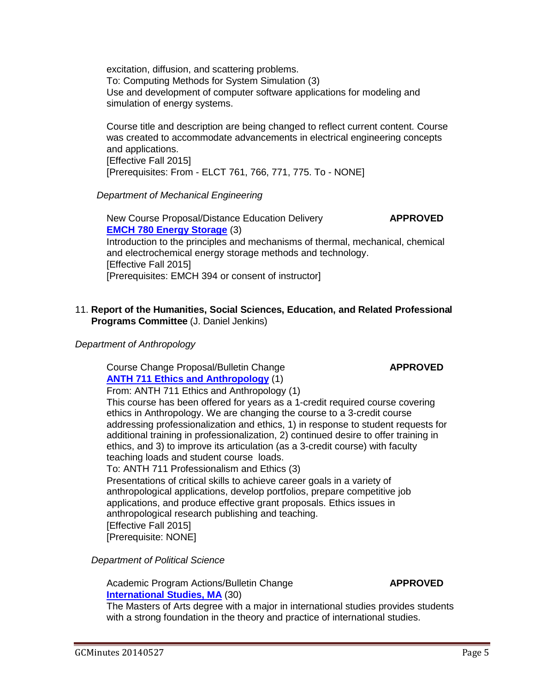excitation, diffusion, and scattering problems. To: Computing Methods for System Simulation (3) Use and development of computer software applications for modeling and simulation of energy systems.

Course title and description are being changed to reflect current content. Course was created to accommodate advancements in electrical engineering concepts and applications. [Effective Fall 2015] [Prerequisites: From - ELCT 761, 766, 771, 775. To - NONE]

### *Department of Mechanical Engineering*

New Course Proposal/Distance Education Delivery **APPROVED [EMCH 780 Energy Storage](http://gradschool.sc.edu/facstaff/gradcouncil/2013/EMCH%20780%20NCP_Redacted%20updated.pdf)** (3) Introduction to the principles and mechanisms of thermal, mechanical, chemical and electrochemical energy storage methods and technology. [Effective Fall 2015] [Prerequisites: EMCH 394 or consent of instructor]

# 11. **Report of the Humanities, Social Sciences, Education, and Related Professional Programs Committee** (J. Daniel Jenkins)

### *Department of Anthropology*

Course Change Proposal/Bulletin Change **APPROVED [ANTH 711 Ethics and Anthropology](http://gradschool.sc.edu/facstaff/gradcouncil/2013/ANTH%20711%20CCP_Redacted1.pdf)** (1)

From: ANTH 711 Ethics and Anthropology (1)

This course has been offered for years as a 1-credit required course covering ethics in Anthropology. We are changing the course to a 3-credit course addressing professionalization and ethics, 1) in response to student requests for additional training in professionalization, 2) continued desire to offer training in ethics, and 3) to improve its articulation (as a 3-credit course) with faculty teaching loads and student course loads.

To: ANTH 711 Professionalism and Ethics (3)

Presentations of critical skills to achieve career goals in a variety of anthropological applications, develop portfolios, prepare competitive job applications, and produce effective grant proposals. Ethics issues in anthropological research publishing and teaching.

[Effective Fall 2015]

[Prerequisite: NONE]

 *Department of Political Science*

Academic Program Actions/Bulletin Change **APPROVED [International Studies, MA](http://gradschool.sc.edu/facstaff/gradcouncil/2013/International%20Studies,%20MA%20APA_Redacted.pdf)** (30)

The Masters of Arts degree with a major in international studies provides students with a strong foundation in the theory and practice of international studies.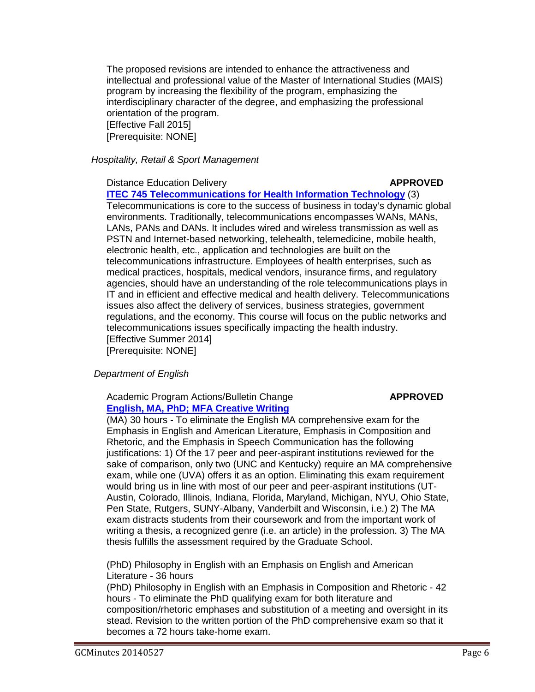The proposed revisions are intended to enhance the attractiveness and intellectual and professional value of the Master of International Studies (MAIS) program by increasing the flexibility of the program, emphasizing the interdisciplinary character of the degree, and emphasizing the professional orientation of the program. [Effective Fall 2015] [Prerequisite: NONE]

*Hospitality, Retail & Sport Management*

Distance Education Delivery **APPROVED** 

**[ITEC 745 Telecommunications for Health Information Technology](http://gradschool.sc.edu/facstaff/gradcouncil/2013/ITEC-745%20DED_Redacted.pdf)** (3) Telecommunications is core to the success of business in today's dynamic global environments. Traditionally, telecommunications encompasses WANs, MANs, LANs, PANs and DANs. It includes wired and wireless transmission as well as PSTN and Internet-based networking, telehealth, telemedicine, mobile health, electronic health, etc., application and technologies are built on the telecommunications infrastructure. Employees of health enterprises, such as medical practices, hospitals, medical vendors, insurance firms, and regulatory agencies, should have an understanding of the role telecommunications plays in IT and in efficient and effective medical and health delivery. Telecommunications issues also affect the delivery of services, business strategies, government regulations, and the economy. This course will focus on the public networks and telecommunications issues specifically impacting the health industry. [Effective Summer 2014] [Prerequisite: NONE]

### *Department of English*

# Academic Program Actions/Bulletin Change **APPROVED [English, MA, PhD; MFA Creative Writing](http://gradschool.sc.edu/facstaff/gradcouncil/2013/English%20MA%20PhD%20Creative%20Writing%20MFA_Redacted1.pdf)**

(MA) 30 hours - To eliminate the English MA comprehensive exam for the Emphasis in English and American Literature, Emphasis in Composition and Rhetoric, and the Emphasis in Speech Communication has the following justifications: 1) Of the 17 peer and peer-aspirant institutions reviewed for the sake of comparison, only two (UNC and Kentucky) require an MA comprehensive exam, while one (UVA) offers it as an option. Eliminating this exam requirement would bring us in line with most of our peer and peer-aspirant institutions (UT-Austin, Colorado, Illinois, Indiana, Florida, Maryland, Michigan, NYU, Ohio State, Pen State, Rutgers, SUNY-Albany, Vanderbilt and Wisconsin, i.e.) 2) The MA exam distracts students from their coursework and from the important work of writing a thesis, a recognized genre (i.e. an article) in the profession. 3) The MA thesis fulfills the assessment required by the Graduate School.

(PhD) Philosophy in English with an Emphasis on English and American Literature - 36 hours

(PhD) Philosophy in English with an Emphasis in Composition and Rhetoric - 42 hours - To eliminate the PhD qualifying exam for both literature and composition/rhetoric emphases and substitution of a meeting and oversight in its stead. Revision to the written portion of the PhD comprehensive exam so that it becomes a 72 hours take-home exam.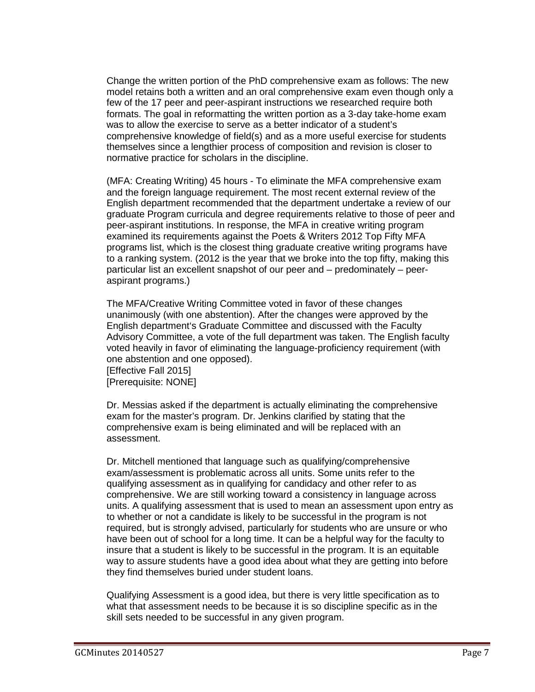Change the written portion of the PhD comprehensive exam as follows: The new model retains both a written and an oral comprehensive exam even though only a few of the 17 peer and peer-aspirant instructions we researched require both formats. The goal in reformatting the written portion as a 3-day take-home exam was to allow the exercise to serve as a better indicator of a student's comprehensive knowledge of field(s) and as a more useful exercise for students themselves since a lengthier process of composition and revision is closer to normative practice for scholars in the discipline.

(MFA: Creating Writing) 45 hours - To eliminate the MFA comprehensive exam and the foreign language requirement. The most recent external review of the English department recommended that the department undertake a review of our graduate Program curricula and degree requirements relative to those of peer and peer-aspirant institutions. In response, the MFA in creative writing program examined its requirements against the Poets & Writers 2012 Top Fifty MFA programs list, which is the closest thing graduate creative writing programs have to a ranking system. (2012 is the year that we broke into the top fifty, making this particular list an excellent snapshot of our peer and – predominately – peeraspirant programs.)

The MFA/Creative Writing Committee voted in favor of these changes unanimously (with one abstention). After the changes were approved by the English department's Graduate Committee and discussed with the Faculty Advisory Committee, a vote of the full department was taken. The English faculty voted heavily in favor of eliminating the language-proficiency requirement (with one abstention and one opposed). [Effective Fall 2015]

[Prerequisite: NONE]

Dr. Messias asked if the department is actually eliminating the comprehensive exam for the master's program. Dr. Jenkins clarified by stating that the comprehensive exam is being eliminated and will be replaced with an assessment.

Dr. Mitchell mentioned that language such as qualifying/comprehensive exam/assessment is problematic across all units. Some units refer to the qualifying assessment as in qualifying for candidacy and other refer to as comprehensive. We are still working toward a consistency in language across units. A qualifying assessment that is used to mean an assessment upon entry as to whether or not a candidate is likely to be successful in the program is not required, but is strongly advised, particularly for students who are unsure or who have been out of school for a long time. It can be a helpful way for the faculty to insure that a student is likely to be successful in the program. It is an equitable way to assure students have a good idea about what they are getting into before they find themselves buried under student loans.

Qualifying Assessment is a good idea, but there is very little specification as to what that assessment needs to be because it is so discipline specific as in the skill sets needed to be successful in any given program.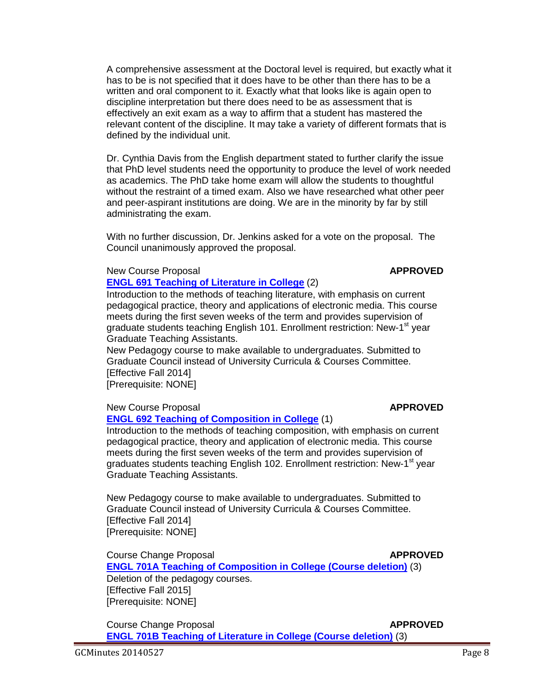A comprehensive assessment at the Doctoral level is required, but exactly what it has to be is not specified that it does have to be other than there has to be a written and oral component to it. Exactly what that looks like is again open to discipline interpretation but there does need to be as assessment that is effectively an exit exam as a way to affirm that a student has mastered the relevant content of the discipline. It may take a variety of different formats that is defined by the individual unit.

Dr. Cynthia Davis from the English department stated to further clarify the issue that PhD level students need the opportunity to produce the level of work needed as academics. The PhD take home exam will allow the students to thoughtful without the restraint of a timed exam. Also we have researched what other peer and peer-aspirant institutions are doing. We are in the minority by far by still administrating the exam.

With no further discussion, Dr. Jenkins asked for a vote on the proposal. The Council unanimously approved the proposal.

New Course Proposal **APPROVED**

**[ENGL 691 Teaching of Literature in College](http://gradschool.sc.edu/facstaff/gradcouncil/2013/ENGL%20691%20NCP_Redacted.pdf)** (2)

Introduction to the methods of teaching literature, with emphasis on current pedagogical practice, theory and applications of electronic media. This course meets during the first seven weeks of the term and provides supervision of graduate students teaching English 101. Enrollment restriction: New-1<sup>st</sup> year Graduate Teaching Assistants.

New Pedagogy course to make available to undergraduates. Submitted to Graduate Council instead of University Curricula & Courses Committee. [Effective Fall 2014]

[Prerequisite: NONE]

### New Course Proposal **APPROVED**

### **[ENGL 692 Teaching of Composition in College](http://gradschool.sc.edu/facstaff/gradcouncil/2013/ENGL%20692%20NCP_Redacted.pdf)** (1)

Introduction to the methods of teaching composition, with emphasis on current pedagogical practice, theory and application of electronic media. This course meets during the first seven weeks of the term and provides supervision of graduates students teaching English 102. Enrollment restriction: New-1<sup>st</sup> year Graduate Teaching Assistants.

New Pedagogy course to make available to undergraduates. Submitted to Graduate Council instead of University Curricula & Courses Committee. [Effective Fall 2014] [Prerequisite: NONE]

**Course Change Proposal** *APPROVED* 

**[ENGL 701A Teaching of Composition in College \(Course deletion\)](http://gradschool.sc.edu/facstaff/gradcouncil/2013/ENGL%20701A%20CCP_Redacted.pdf)** (3) Deletion of the pedagogy courses. [Effective Fall 2015] [Prerequisite: NONE]

Course Change Proposal **APPROVED [ENGL 701B Teaching of Literature in College \(Course deletion\)](http://gradschool.sc.edu/facstaff/gradcouncil/2013/ENGL%20701B%20CCP_Redacted.pdf)** (3)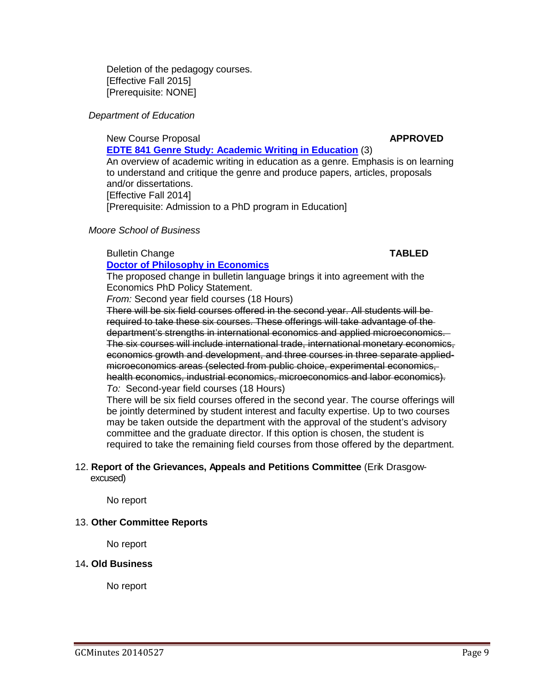Deletion of the pedagogy courses. [Effective Fall 2015] [Prerequisite: NONE]

### *Department of Education*

New Course Proposal **APPROVED [EDTE 841 Genre Study: Academic Writing in Education](http://gradschool.sc.edu/facstaff/gradcouncil/2013/EDTE%20841%20NCP_Redacted.pdf)** (3) An overview of academic writing in education as a genre. Emphasis is on learning to understand and critique the genre and produce papers, articles, proposals and/or dissertations. [Effective Fall 2014] [Prerequisite: Admission to a PhD program in Education]

### *Moore School of Business*

### Bulletin Change **TABLED**

**[Doctor of Philosophy in Economics](http://gradschool.sc.edu/facstaff/gradcouncil/2013/ECON%20PhD%20BCH.pdf)** The proposed change in bulletin language brings it into agreement with the Economics PhD Policy Statement.

*From:* Second year field courses (18 Hours)

There will be six field courses offered in the second year. All students will be required to take these six courses. These offerings will take advantage of the department's strengths in international economics and applied microeconomics. The six courses will include international trade, international monetary economics, economics growth and development, and three courses in three separate appliedmicroeconomics areas (selected from public choice, experimental economics, health economics, industrial economics, microeconomics and labor economics). *To:* Second-year field courses (18 Hours)

There will be six field courses offered in the second year. The course offerings will be jointly determined by student interest and faculty expertise. Up to two courses may be taken outside the department with the approval of the student's advisory committee and the graduate director. If this option is chosen, the student is required to take the remaining field courses from those offered by the department.

### 12. **Report of the Grievances, Appeals and Petitions Committee** (Erik Drasgow excused)

No report

### 13. **Other Committee Reports**

No report

### 14**. Old Business**

No report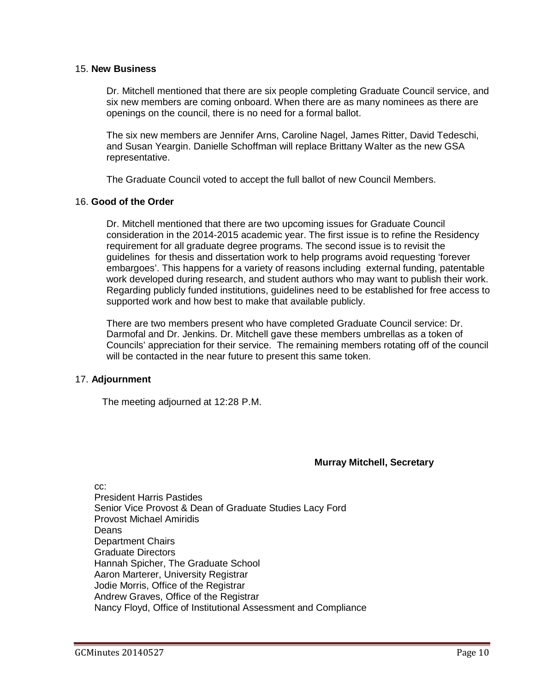### 15. **New Business**

Dr. Mitchell mentioned that there are six people completing Graduate Council service, and six new members are coming onboard. When there are as many nominees as there are openings on the council, there is no need for a formal ballot.

The six new members are Jennifer Arns, Caroline Nagel, James Ritter, David Tedeschi, and Susan Yeargin. Danielle Schoffman will replace Brittany Walter as the new GSA representative.

The Graduate Council voted to accept the full ballot of new Council Members.

### 16. **Good of the Order**

Dr. Mitchell mentioned that there are two upcoming issues for Graduate Council consideration in the 2014-2015 academic year. The first issue is to refine the Residency requirement for all graduate degree programs. The second issue is to revisit the guidelines for thesis and dissertation work to help programs avoid requesting 'forever embargoes'. This happens for a variety of reasons including external funding, patentable work developed during research, and student authors who may want to publish their work. Regarding publicly funded institutions, guidelines need to be established for free access to supported work and how best to make that available publicly.

There are two members present who have completed Graduate Council service: Dr. Darmofal and Dr. Jenkins. Dr. Mitchell gave these members umbrellas as a token of Councils' appreciation for their service. The remaining members rotating off of the council will be contacted in the near future to present this same token.

### 17. **Adjournment**

The meeting adjourned at 12:28 P.M.

### **Murray Mitchell, Secretary**

cc: President Harris Pastides Senior Vice Provost & Dean of Graduate Studies Lacy Ford Provost Michael Amiridis **Deans** Department Chairs Graduate Directors Hannah Spicher, The Graduate School Aaron Marterer, University Registrar Jodie Morris, Office of the Registrar Andrew Graves, Office of the Registrar Nancy Floyd, Office of Institutional Assessment and Compliance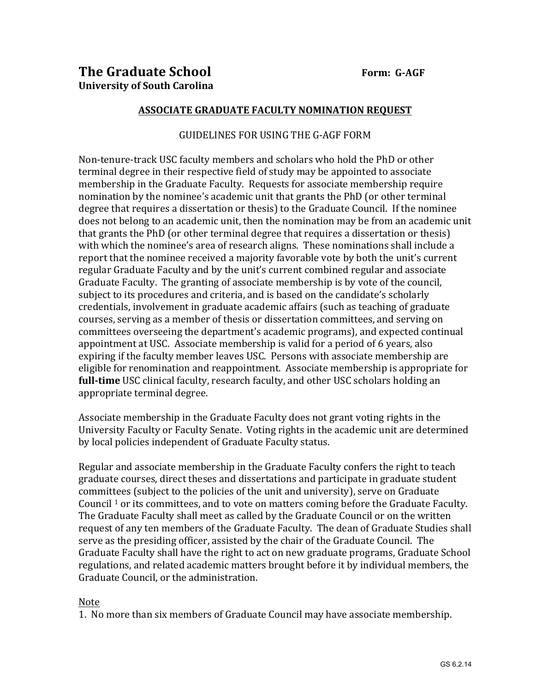### **ASSOCIATE GRADUATE FACULTY NOMINATION REQUEST**

### GUIDELINES FOR USING THE G-AGF FORM

Non-tenure-track USC faculty members and scholars who hold the PhD or other terminal degree in their respective field of study may be appointed to associate membership in the Graduate Faculty. Requests for associate membership require nomination by the nominee's academic unit that grants the PhD (or other terminal degree that requires a dissertation or thesis) to the Graduate Council. If the nominee does not belong to an academic unit, then the nomination may be from an academic unit that grants the PhD (or other terminal degree that requires a dissertation or thesis) with which the nominee's area of research aligns. These nominations shall include a report that the nominee received a majority favorable vote by both the unit's current regular Graduate Faculty and by the unit's current combined regular and associate Graduate Faculty. The granting of associate membership is by vote of the council, subject to its procedures and criteria, and is based on the candidate's scholarly credentials, involvement in graduate academic affairs (such as teaching of graduate courses, serving as a member of thesis or dissertation committees, and serving on committees overseeing the department's academic programs), and expected continual appointment at USC. Associate membership is valid for a period of 6 years, also expiring if the faculty member leaves USC. Persons with associate membership are eligible for renomination and reappointment. Associate membership is appropriate for **full-time** USC clinical faculty, research faculty, and other USC scholars holding an appropriate terminal degree.

Associate membership in the Graduate Faculty does not grant voting rights in the University Faculty or Faculty Senate. Voting rights in the academic unit are determined by local policies independent of Graduate Faculty status.

Regular and associate membership in the Graduate Faculty confers the right to teach graduate courses, direct theses and dissertations and participate in graduate student committees (subject to the policies of the unit and university), serve on Graduate Council  $\frac{1}{1}$  or its committees, and to vote on matters coming before the Graduate Faculty. The Graduate Faculty shall meet as called by the Graduate Council or on the written request of any ten members of the Graduate Faculty. The dean of Graduate Studies shall serve as the presiding officer, assisted by the chair of the Graduate Council. The Graduate Faculty shall have the right to act on new graduate programs, Graduate School regulations, and related academic matters brought before it by individual members, the Graduate Council, or the administration.

### Note

1. No more than six members of Graduate Council may have associate membership.